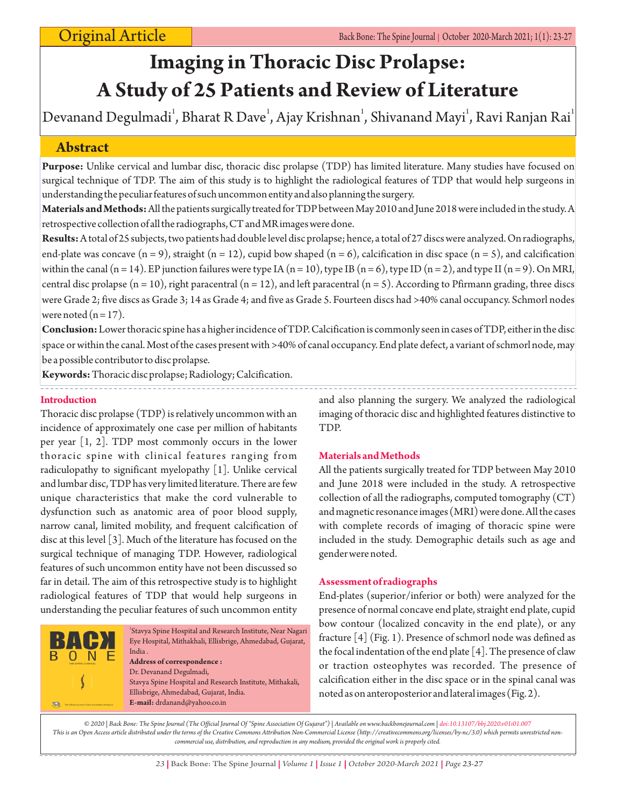# **Imaging in Thoracic Disc Prolapse: A Study of 25 Patients and Review of Literature**

Devanand Degulmadi<sup>1</sup>, Bharat R Dave<sup>1</sup>, Ajay Krishnan<sup>1</sup>, Shivanand Mayi<sup>1</sup>, Ravi Ranjan Rai<sup>1</sup>

# **Abstract**

**Purpose:** Unlike cervical and lumbar disc, thoracic disc prolapse (TDP) has limited literature. Many studies have focused on surgical technique of TDP. The aim of this study is to highlight the radiological features of TDP that would help surgeons in understanding the peculiar features of such uncommon entity and also planning the surgery.

**Materials and Methods:**All the patients surgically treated for TDP between May 2010 and June 2018 were included in the study. A retrospective collection of all the radiographs, CT and MR images were done.

**Results:**A total of 25 subjects, two patients had double level disc prolapse; hence, a total of 27 discs were analyzed. On radiographs, end-plate was concave  $(n = 9)$ , straight  $(n = 12)$ , cupid bow shaped  $(n = 6)$ , calcification in disc space  $(n = 5)$ , and calcification within the canal (n = 14). EP junction failures were type IA (n = 10), type IB (n = 6), type ID (n = 2), and type II (n = 9). On MRI, central disc prolapse  $(n = 10)$ , right paracentral  $(n = 12)$ , and left paracentral  $(n = 5)$ . According to Pfirmann grading, three discs were Grade 2; five discs as Grade 3; 14 as Grade 4; and five as Grade 5. Fourteen discs had >40% canal occupancy. Schmorl nodes were noted  $(n = 17)$ .

**Conclusion:**Lower thoracic spine has a higher incidence of TDP. Calcification is commonly seen in cases of TDP, either in the disc space or within the canal. Most of the cases present with >40% of canal occupancy. End plate defect, a variant of schmorl node, may be a possible contributor to disc prolapse.

**Keywords:**Thoracic disc prolapse; Radiology; Calcification.

## **Introduction**

Thoracic disc prolapse (TDP) is relatively uncommon with an incidence of approximately one case per million of habitants per year [1, 2]. TDP most commonly occurs in the lower thoracic spine with clinical features ranging from radiculopathy to significant myelopathy [1]. Unlike cervical and lumbar disc, TDP has very limited literature. There are few unique characteristics that make the cord vulnerable to dysfunction such as anatomic area of poor blood supply, narrow canal, limited mobility, and frequent calcification of disc at this level [3]. Much of the literature has focused on the surgical technique of managing TDP. However, radiological features of such uncommon entity have not been discussed so far in detail. The aim of this retrospective study is to highlight radiological features of TDP that would help surgeons in understanding the peculiar features of such uncommon entity



and also planning the surgery. We analyzed the radiological imaging of thoracic disc and highlighted features distinctive to TDP.

## **Materials and Methods**

All the patients surgically treated for TDP between May 2010 and June 2018 were included in the study. A retrospective collection of all the radiographs, computed tomography (CT) and magnetic resonance images (MRI) were done. All the cases with complete records of imaging of thoracic spine were included in the study. Demographic details such as age and gender were noted.

## **Assessment of radiographs**

End-plates (superior/inferior or both) were analyzed for the presence of normal concave end plate, straight end plate, cupid bow contour (localized concavity in the end plate), or any fracture [4] (Fig. 1). Presence of schmorl node was defined as the focal indentation of the end plate [4]. The presence of claw or traction osteophytes was recorded. The presence of calcification either in the disc space or in the spinal canal was noted as on anteroposterior and lateral images (Fig. 2).

*© 2020 | Back Bone: The Spine Journal (The Official Journal Of "Spine Association Of Gujarat") | Available on www.backbonejournal.com | doi:10.13107/bbj.2020.v01i01.007 This is an Open Access article distributed under the terms of the Creative Commons Attribution Non-Commercial License (http://creativecommons.org/licenses/by-nc/3.0) which permits unrestricted noncommercial use, distribution, and reproduction in any medium, provided the original work is properly cited.*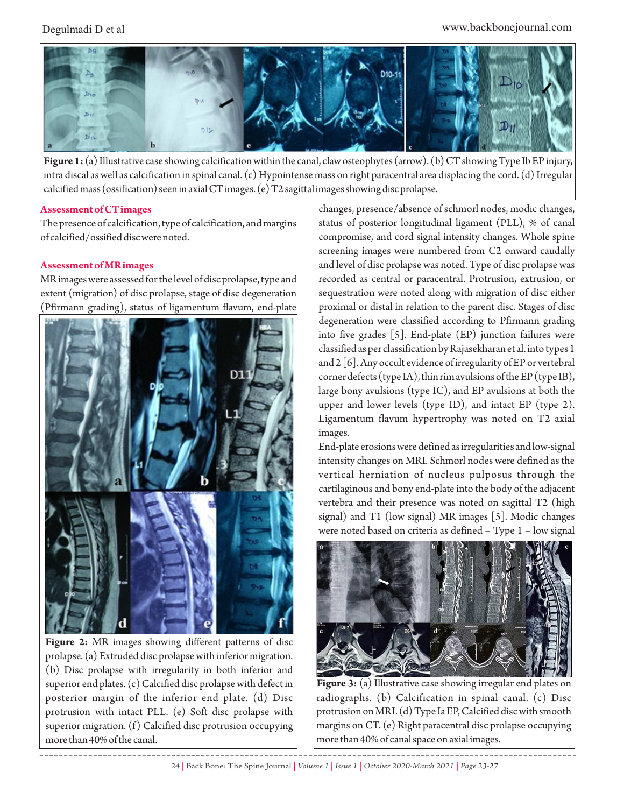

**Figure 1:** (a) Illustrative case showing calcification within the canal, claw osteophytes (arrow). (b) CT showing Type Ib EP injury, intra discal as well as calcification in spinal canal. (c) Hypointense mass on right paracentral area displacing the cord. (d) Irregular calcified mass (ossification) seen in axial CT images. (e) T2 sagittal images showing disc prolapse.

## **Assessment of CT images**

The presence of calcification, type of calcification, and margins of calcified/ossified disc were noted.

# **Assessment of MR images**

MR images were assessed for the level of disc prolapse, type and extent (migration) of disc prolapse, stage of disc degeneration (Pfirmann grading), status of ligamentum flavum, end-plate



**Figure 2:** MR images showing different patterns of disc prolapse. (a) Extruded disc prolapse with inferior migration. (b) Disc prolapse with irregularity in both inferior and superior end plates. (c) Calcified disc prolapse with defect in posterior margin of the inferior end plate. (d) Disc protrusion with intact PLL. (e) Soft disc prolapse with superior migration. (f) Calcified disc protrusion occupying more than 40% of the canal.

changes, presence/absence of schmorl nodes, modic changes, status of posterior longitudinal ligament (PLL), % of canal compromise, and cord signal intensity changes. Whole spine screening images were numbered from C2 onward caudally and level of disc prolapse was noted. Type of disc prolapse was recorded as central or paracentral. Protrusion, extrusion, or sequestration were noted along with migration of disc either proximal or distal in relation to the parent disc. Stages of disc degeneration were classified according to Pfirmann grading into five grades [5]. End-plate (EP) junction failures were classified as per classification by Rajasekharan et al. into types 1 and 2 [6]. Any occult evidence of irregularity of EP or vertebral corner defects (type IA), thin rim avulsions of the EP (type IB), large bony avulsions (type IC), and EP avulsions at both the upper and lower levels (type ID), and intact EP (type 2). Ligamentum flavum hypertrophy was noted on T2 axial images.

End-plate erosions were defined as irregularities and low-signal intensity changes on MRI. Schmorl nodes were defined as the vertical herniation of nucleus pulposus through the cartilaginous and bony end-plate into the body of the adjacent vertebra and their presence was noted on sagittal T2 (high signal) and T1 (low signal) MR images [5]. Modic changes were noted based on criteria as defined – Type 1 – low signal



**Figure 3:** (a) Illustrative case showing irregular end plates on radiographs. (b) Calcification in spinal canal. (c) Disc protrusion on MRI. (d) Type Ia EP, Calcified disc with smooth margins on CT. (e) Right paracentral disc prolapse occupying more than 40% of canal space on axial images.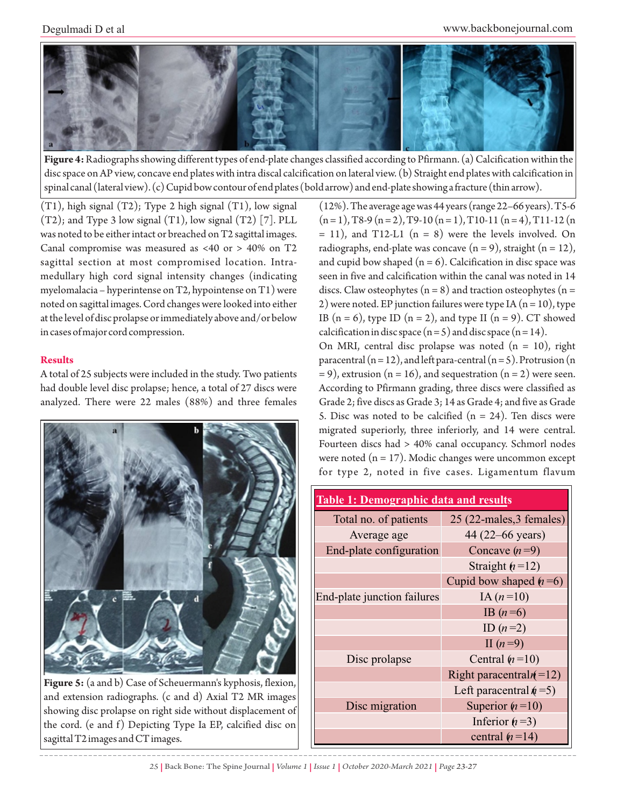

**Figure 4:**Radiographs showing different types of end-plate changes classified according to Pfirmann. (a) Calcification within the disc space on AP view, concave end plates with intra discal calcification on lateral view. (b) Straight end plates with calcification in spinal canal (lateral view). (c) Cupid bow contour of end plates (bold arrow) and end-plate showing a fracture (thin arrow).

(T1), high signal (T2); Type 2 high signal (T1), low signal (T2); and Type 3 low signal (T1), low signal (T2) [7]. PLL was noted to be either intact or breached on T2 sagittal images. Canal compromise was measured as <40 or > 40% on T2 sagittal section at most compromised location. Intramedullary high cord signal intensity changes (indicating myelomalacia – hyperintense on T2, hypointense on T1) were noted on sagittal images. Cord changes were looked into either at the level of disc prolapse or immediately above and/or below in cases of major cord compression.

# **Results**

A total of 25 subjects were included in the study. Two patients had double level disc prolapse; hence, a total of 27 discs were analyzed. There were 22 males (88%) and three females



**Figure 5:** (a and b) Case of Scheuermann's kyphosis, flexion, and extension radiographs. (c and d) Axial T2 MR images showing disc prolapse on right side without displacement of the cord. (e and f) Depicting Type Ia EP, calcified disc on sagittal T2 images and CT images.

(12%). The average age was 44 years (range 22–66 years). T5-6  $(n=1)$ , T8-9  $(n=2)$ , T9-10  $(n=1)$ , T10-11  $(n=4)$ , T11-12  $(n=1)$  $= 11$ ), and T12-L1 (n = 8) were the levels involved. On radiographs, end-plate was concave  $(n = 9)$ , straight  $(n = 12)$ , and cupid bow shaped  $(n = 6)$ . Calcification in disc space was seen in five and calcification within the canal was noted in 14 discs. Claw osteophytes  $(n = 8)$  and traction osteophytes  $(n = 1)$ 2) were noted. EP junction failures were type IA  $(n = 10)$ , type IB  $(n = 6)$ , type ID  $(n = 2)$ , and type II  $(n = 9)$ . CT showed calcification in disc space  $(n=5)$  and disc space  $(n=14)$ .

On MRI, central disc prolapse was noted  $(n = 10)$ , right paracentral  $(n = 12)$ , and left para-central  $(n = 5)$ . Protrusion  $(n = 12)$  $= 9$ ), extrusion (n = 16), and sequestration (n = 2) were seen. According to Pfirmann grading, three discs were classified as Grade 2; five discs as Grade 3; 14 as Grade 4; and five as Grade 5. Disc was noted to be calcified  $(n = 24)$ . Ten discs were migrated superiorly, three inferiorly, and 14 were central. Fourteen discs had > 40% canal occupancy. Schmorl nodes were noted  $(n = 17)$ . Modic changes were uncommon except for type 2, noted in five cases. Ligamentum flavum

| <b>Table 1: Demographic data and results</b> |                            |
|----------------------------------------------|----------------------------|
| Total no. of patients                        | 25 (22-males, 3 females)   |
| Average age                                  | 44 (22–66 years)           |
| End-plate configuration                      | Concave $(n=9)$            |
|                                              | Straight $(n=12)$          |
|                                              | Cupid bow shaped $(n=6)$   |
| End-plate junction failures                  | IA $(n=10)$                |
|                                              | IB $(n=6)$                 |
|                                              | ID $(n=2)$                 |
|                                              | II $(n=9)$                 |
| Disc prolapse                                | Central $(n=10)$           |
|                                              | Right paracentral $n(=12)$ |
|                                              | Left paracentral $n = 5$ ) |
| Disc migration                               | Superior $(n=10)$          |
|                                              | Inferior $(n=3)$           |
|                                              | central $(n=14)$           |

*25 |* Back Bone: The Spine Journal *| Volume 1 | Issue 1 | October 2020-March 2021 | Page 23-27*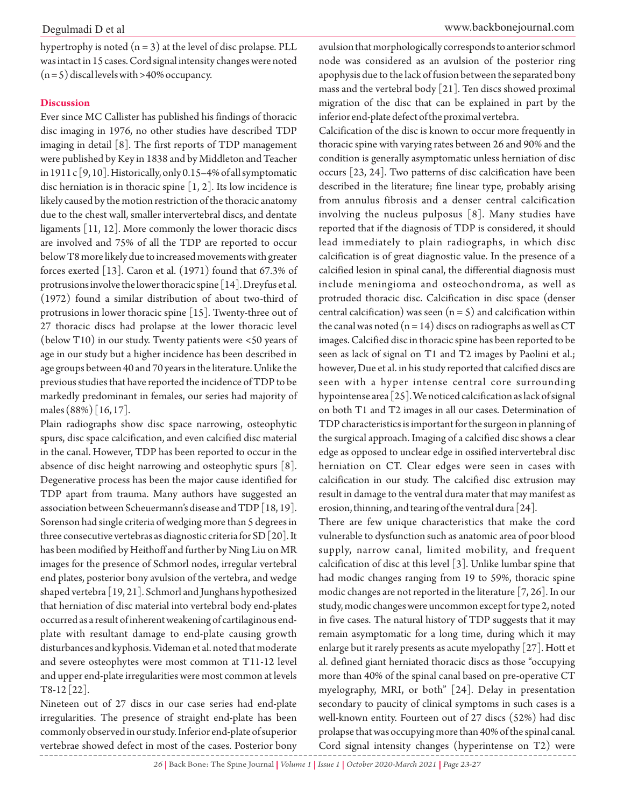hypertrophy is noted  $(n = 3)$  at the level of disc prolapse. PLL was intact in 15 cases. Cord signal intensity changes were noted  $(n=5)$  discal levels with >40% occupancy.

#### **Discussion**

Ever since MC Callister has published his findings of thoracic disc imaging in 1976, no other studies have described TDP imaging in detail [8]. The first reports of TDP management were published by Key in 1838 and by Middleton and Teacher in 1911 c [9, 10]. Historically, only 0.15–4% of all symptomatic disc herniation is in thoracic spine [1, 2]. Its low incidence is likely caused by the motion restriction of the thoracic anatomy due to the chest wall, smaller intervertebral discs, and dentate ligaments [11, 12]. More commonly the lower thoracic discs are involved and 75% of all the TDP are reported to occur below T8 more likely due to increased movements with greater forces exerted [13]. Caron et al. (1971) found that 67.3% of protrusions involve the lower thoracic spine [14]. Dreyfus et al. (1972) found a similar distribution of about two-third of protrusions in lower thoracic spine [15]. Twenty-three out of 27 thoracic discs had prolapse at the lower thoracic level (below T10) in our study. Twenty patients were <50 years of age in our study but a higher incidence has been described in age groups between 40 and 70 years in the literature. Unlike the previous studies that have reported the incidence of TDP to be markedly predominant in females, our series had majority of males (88%) [16, 17].

Plain radiographs show disc space narrowing, osteophytic spurs, disc space calcification, and even calcified disc material in the canal. However, TDP has been reported to occur in the absence of disc height narrowing and osteophytic spurs [8]. Degenerative process has been the major cause identified for TDP apart from trauma. Many authors have suggested an association between Scheuermann's disease and TDP [18, 19]. Sorenson had single criteria of wedging more than 5 degrees in three consecutive vertebras as diagnostic criteria for SD [20]. It has been modified by Heithoff and further by Ning Liu on MR images for the presence of Schmorl nodes, irregular vertebral end plates, posterior bony avulsion of the vertebra, and wedge shaped vertebra [19, 21]. Schmorl and Junghans hypothesized that herniation of disc material into vertebral body end-plates occurred as a result of inherent weakening of cartilaginous endplate with resultant damage to end-plate causing growth disturbances and kyphosis. Videman et al. noted that moderate and severe osteophytes were most common at T11-12 level and upper end-plate irregularities were most common at levels  $T8-12$  [22].

Nineteen out of 27 discs in our case series had end-plate irregularities. The presence of straight end-plate has been commonly observed in our study. Inferior end-plate of superior vertebrae showed defect in most of the cases. Posterior bony

avulsion that morphologically corresponds to anterior schmorl node was considered as an avulsion of the posterior ring apophysis due to the lack of fusion between the separated bony mass and the vertebral body [21]. Ten discs showed proximal migration of the disc that can be explained in part by the inferior end-plate defect of the proximal vertebra.

Calcification of the disc is known to occur more frequently in thoracic spine with varying rates between 26 and 90% and the condition is generally asymptomatic unless herniation of disc occurs [23, 24]. Two patterns of disc calcification have been described in the literature; fine linear type, probably arising from annulus fibrosis and a denser central calcification involving the nucleus pulposus [8]. Many studies have reported that if the diagnosis of TDP is considered, it should lead immediately to plain radiographs, in which disc calcification is of great diagnostic value. In the presence of a calcified lesion in spinal canal, the differential diagnosis must include meningioma and osteochondroma, as well as protruded thoracic disc. Calcification in disc space (denser central calcification) was seen  $(n = 5)$  and calcification within the canal was noted  $(n = 14)$  discs on radiographs as well as CT images. Calcified disc in thoracic spine has been reported to be seen as lack of signal on T1 and T2 images by Paolini et al.; however, Due et al. in his study reported that calcified discs are seen with a hyper intense central core surrounding hypointense area [25]. We noticed calcification as lack of signal on both T1 and T2 images in all our cases. Determination of TDP characteristics is important for the surgeon in planning of the surgical approach. Imaging of a calcified disc shows a clear edge as opposed to unclear edge in ossified intervertebral disc herniation on CT. Clear edges were seen in cases with calcification in our study. The calcified disc extrusion may result in damage to the ventral dura mater that may manifest as erosion, thinning, and tearing of the ventral dura [24].

There are few unique characteristics that make the cord vulnerable to dysfunction such as anatomic area of poor blood supply, narrow canal, limited mobility, and frequent calcification of disc at this level [3]. Unlike lumbar spine that had modic changes ranging from 19 to 59%, thoracic spine modic changes are not reported in the literature [7, 26]. In our study, modic changes were uncommon except for type 2, noted in five cases. The natural history of TDP suggests that it may remain asymptomatic for a long time, during which it may enlarge but it rarely presents as acute myelopathy [27]. Hott et al. defined giant herniated thoracic discs as those "occupying more than 40% of the spinal canal based on pre-operative CT myelography, MRI, or both" [24]. Delay in presentation secondary to paucity of clinical symptoms in such cases is a well-known entity. Fourteen out of 27 discs (52%) had disc prolapse that was occupying more than 40% of the spinal canal. Cord signal intensity changes (hyperintense on T2) were

*26 |* Back Bone: The Spine Journal *| Volume 1 | Issue 1 | October 2020-March 2021 | Page 23-27*